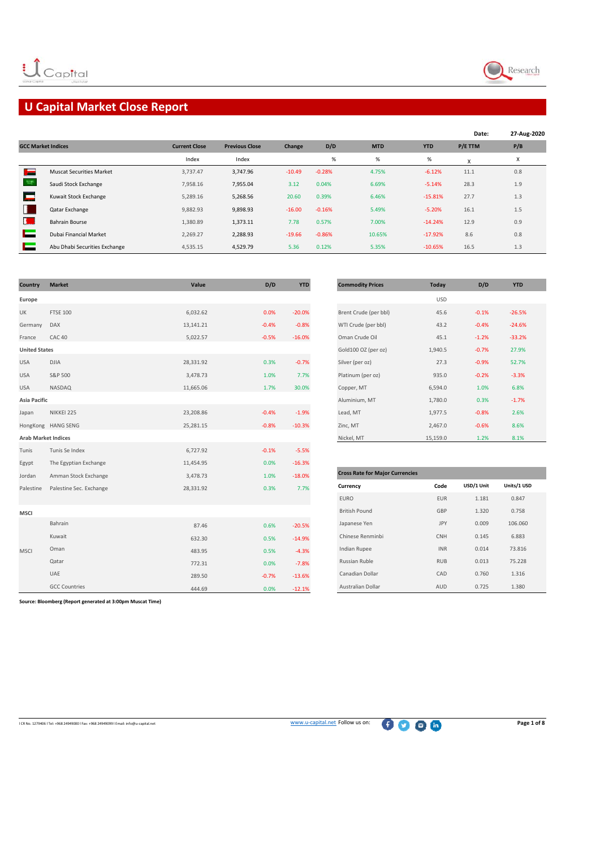

# **U Capital Market Close Report**

|                           |                                 |                      |                       |          |          |            |            | Date:   | 27-Aug-2020 |
|---------------------------|---------------------------------|----------------------|-----------------------|----------|----------|------------|------------|---------|-------------|
| <b>GCC Market Indices</b> |                                 | <b>Current Close</b> | <b>Previous Close</b> | Change   | D/D      | <b>MTD</b> | <b>YTD</b> | P/E TTM | P/B         |
|                           |                                 | Index                | Index                 |          | %        | %          | %          | x       | х           |
| T <sub>om</sub>           | <b>Muscat Securities Market</b> | 3,737.47             | 3,747.96              | $-10.49$ | $-0.28%$ | 4.75%      | $-6.12%$   | 11.1    | 0.8         |
|                           | Saudi Stock Exchange            | 7,958.16             | 7,955.04              | 3.12     | 0.04%    | 6.69%      | $-5.14%$   | 28.3    | 1.9         |
| E                         | Kuwait Stock Exchange           | 5.289.16             | 5,268.56              | 20.60    | 0.39%    | 6.46%      | $-15.81%$  | 27.7    | 1.3         |
| н                         | Qatar Exchange                  | 9,882.93             | 9,898.93              | $-16.00$ | $-0.16%$ | 5.49%      | $-5.20%$   | 16.1    | 1.5         |
| B.                        | <b>Bahrain Bourse</b>           | 1,380.89             | 1,373.11              | 7.78     | 0.57%    | 7.00%      | $-14.24%$  | 12.9    | 0.9         |
|                           | Dubai Financial Market          | 2,269.27             | 2,288.93              | $-19.66$ | $-0.86%$ | 10.65%     | $-17.92%$  | 8.6     | 0.8         |
|                           | Abu Dhabi Securities Exchange   | 4,535.15             | 4,529.79              | 5.36     | 0.12%    | 5.35%      | $-10.65%$  | 16.5    | 1.3         |

| <b>Country</b>             | <b>Market</b>           | Value     | D/D     | <b>YTD</b> | <b>Commodity Prices</b>                | <b>Today</b> | D/D        | <b>YTD</b>  |
|----------------------------|-------------------------|-----------|---------|------------|----------------------------------------|--------------|------------|-------------|
| Europe                     |                         |           |         |            |                                        | <b>USD</b>   |            |             |
| UK                         | <b>FTSE 100</b>         | 6,032.62  | 0.0%    | $-20.0%$   | Brent Crude (per bbl)                  | 45.6         | $-0.1%$    | $-26.5%$    |
| Germany                    | DAX                     | 13,141.21 | $-0.4%$ | $-0.8%$    | WTI Crude (per bbl)                    | 43.2         | $-0.4%$    | $-24.6%$    |
| France                     | <b>CAC 40</b>           | 5,022.57  | $-0.5%$ | $-16.0%$   | Oman Crude Oil                         | 45.1         | $-1.2%$    | $-33.2%$    |
| <b>United States</b>       |                         |           |         |            | Gold100 OZ (per oz)                    | 1,940.5      | $-0.7%$    | 27.9%       |
| <b>USA</b>                 | <b>DJIA</b>             | 28,331.92 | 0.3%    | $-0.7%$    | Silver (per oz)                        | 27.3         | $-0.9%$    | 52.7%       |
| <b>USA</b>                 | S&P 500                 | 3,478.73  | 1.0%    | 7.7%       | Platinum (per oz)                      | 935.0        | $-0.2%$    | $-3.3%$     |
| <b>USA</b>                 | NASDAQ                  | 11,665.06 | 1.7%    | 30.0%      | Copper, MT                             | 6,594.0      | 1.0%       | 6.8%        |
| Asia Pacific               |                         |           |         |            | Aluminium, MT                          | 1,780.0      | 0.3%       | $-1.7%$     |
| Japan                      | NIKKEI 225              | 23,208.86 | $-0.4%$ | $-1.9%$    | Lead, MT                               | 1,977.5      | $-0.8%$    | 2.6%        |
|                            | HongKong HANG SENG      | 25,281.15 | $-0.8%$ | $-10.3%$   | Zinc, MT                               | 2,467.0      | $-0.6%$    | 8.6%        |
| <b>Arab Market Indices</b> |                         |           |         |            | Nickel, MT                             | 15,159.0     | 1.2%       | 8.1%        |
| Tunis                      | Tunis Se Index          | 6,727.92  | $-0.1%$ | $-5.5%$    |                                        |              |            |             |
| Egypt                      | The Egyptian Exchange   | 11,454.95 | 0.0%    | $-16.3%$   |                                        |              |            |             |
| Jordan                     | Amman Stock Exchange    | 3,478.73  | 1.0%    | $-18.0%$   | <b>Cross Rate for Major Currencies</b> |              |            |             |
| Palestine                  | Palestine Sec. Exchange | 28,331.92 | 0.3%    | 7.7%       | Currency                               | Code         | USD/1 Unit | Units/1 USD |
|                            |                         |           |         |            | <b>EURO</b>                            | <b>EUR</b>   | 1.181      | 0.847       |
| <b>MSCI</b>                |                         |           |         |            | <b>British Pound</b>                   | GBP          | 1.320      | 0.758       |
|                            | Bahrain                 | 87.46     | 0.6%    | $-20.5%$   | Japanese Yen                           | JPY          | 0.009      | 106.060     |
|                            | Kuwait                  | 632.30    | 0.5%    | $-14.9%$   | Chinese Renminbi                       | <b>CNH</b>   | 0.145      | 6.883       |
| <b>MSCI</b>                | Oman                    | 483.95    | 0.5%    | $-4.3%$    | Indian Rupee                           | <b>INR</b>   | 0.014      | 73.816      |
|                            | Qatar                   | 772.31    | 0.0%    | $-7.8%$    | Russian Ruble                          | <b>RUB</b>   | 0.013      | 75.228      |
|                            | UAE                     | 289.50    | $-0.7%$ | $-13.6%$   | Canadian Dollar                        | CAD          | 0.760      | 1.316       |
|                            | <b>GCC Countries</b>    | 444.69    | 0.0%    | $-12.1%$   | Australian Dollar                      | AUD          | 0.725      | 1.380       |

| <b>Commodity Prices</b> | Today      | D/D     | <b>YTD</b> |  |
|-------------------------|------------|---------|------------|--|
|                         | <b>USD</b> |         |            |  |
| Brent Crude (per bbl)   | 45.6       | $-0.1%$ | $-26.5%$   |  |
| WTI Crude (per bbl)     | 43.2       | $-0.4%$ | $-24.6%$   |  |
| Oman Crude Oil          | 45.1       | $-1.2%$ | $-33.2%$   |  |
| Gold100 OZ (per oz)     | 1,940.5    | $-0.7%$ | 27.9%      |  |
| Silver (per oz)         | 27.3       | $-0.9%$ | 52.7%      |  |
| Platinum (per oz)       | 935.0      | $-0.2%$ | $-3.3%$    |  |
| Copper, MT              | 6,594.0    | 1.0%    | 6.8%       |  |
| Aluminium, MT           | 1,780.0    | 0.3%    | $-1.7%$    |  |
| Lead, MT                | 1,977.5    | $-0.8%$ | 2.6%       |  |
| Zinc, MT                | 2,467.0    | $-0.6%$ | 8.6%       |  |
| Nickel, MT              | 15,159.0   | 1.2%    | 8.1%       |  |

| <b>Cross Rate for Major Currencies</b> |            |            |             |
|----------------------------------------|------------|------------|-------------|
| Currency                               | Code       | USD/1 Unit | Units/1 USD |
| <b>EURO</b>                            | <b>EUR</b> | 1.181      | 0.847       |
| <b>British Pound</b>                   | GBP        | 1.320      | 0.758       |
| Japanese Yen                           | <b>JPY</b> | 0.009      | 106.060     |
| Chinese Renminbi                       | <b>CNH</b> | 0.145      | 6.883       |
| <b>Indian Rupee</b>                    | <b>INR</b> | 0.014      | 73.816      |
| Russian Ruble                          | <b>RUB</b> | 0.013      | 75.228      |
| Canadian Dollar                        | CAD        | 0.760      | 1.316       |
| <b>Australian Dollar</b>               | AUD        | 0.725      | 1.380       |

**Source: Bloomberg (Report generated at 3:00pm Muscat Time)**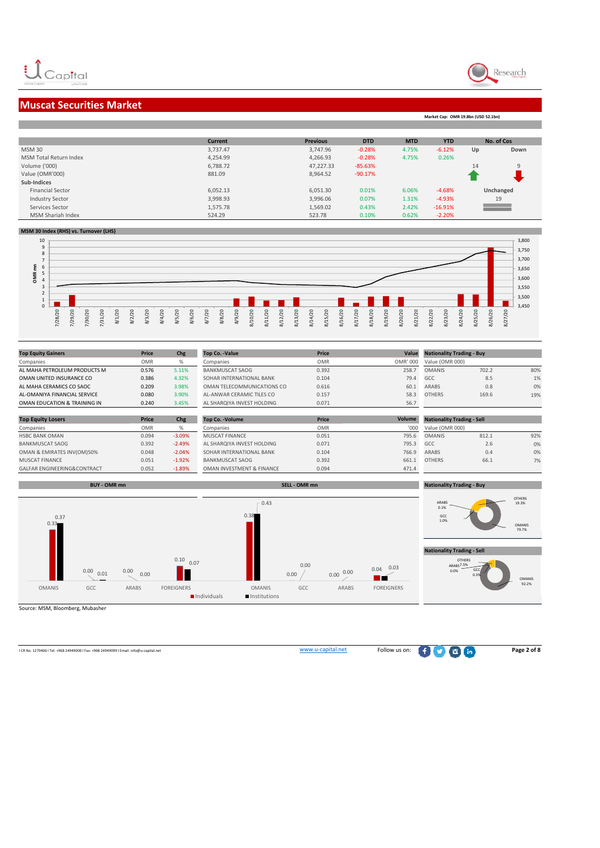



**Market Cap: OMR 19.8bn (USD 52.1bn)**

### **Muscat Securities Market**

**Current Previous DTD MTD YTD**<br>3,737.47 3,747.96 **-0.28%** 4.75% -6.12% **The State No. of Cos** MSM 30 3,737.47 3,747.96 ‐0.28% 4.75% ‐6.12% **Up Down** MSM Total Return Index **1.254.99 1.254.99 1.254.99 1.26% 1.25% 1.26% 1.26% 0.26% 1.26%** 0.26% Volume ('000) 6,788.72 47,227.33 ‐85.63% 14 9 Value (OMR'000) 881.09 **881.09 120.000 120.000 120.000 120.000 120.000 120.000 120.000 120.000 120.000 120.000 120.000 120.000 120.000 120.000 120.000 120.000 120.000 120.000 120.000 120.000 120.000 120.000 120.000 120.000** 1 **Sub‐Indices Unchanged** Financial Sector 6,052.13 6,051.30 0.01% 6.06% ‐4.68% 19 Industry Sector 3,998.93 3,996.06 0.07% 1.31% ‐4.93% Ξ Services Sector 1,575.78 1,569.02 0.43% 2.42% ‐16.91% MSM Shariah Index 524.29 523.78 0.10% 0.62% ‐2.20%

#### **MSM 30 Index (RHS) vs. Turnover (LHS)**



| <b>Top Equity Gainers</b>              | <b>Price</b> | Chg      | <b>Top Co. -Value</b>      | Price      | Value    | <b>Nationality Trading - Buy</b>  |       |     |
|----------------------------------------|--------------|----------|----------------------------|------------|----------|-----------------------------------|-------|-----|
| Companies                              | <b>OMR</b>   | %        | Companies                  | <b>OMR</b> | OMR' 000 | Value (OMR 000)                   |       |     |
| AL MAHA PETROLEUM PRODUCTS M           | 0.576        | 5.11%    | <b>BANKMUSCAT SAOG</b>     | 0.392      | 258.7    | <b>OMANIS</b>                     | 702.2 | 80% |
| OMAN UNITED INSURANCE CO               | 0.386        | 4.32%    | SOHAR INTERNATIONAL BANK   | 0.104      | 79.4     | GCC                               | 8.5   | 1%  |
| AL MAHA CERAMICS CO SAOC               | 0.209        | 3.98%    | OMAN TELECOMMUNICATIONS CO | 0.616      | 60.1     | ARABS                             | 0.8   | 0%  |
| AL-OMANIYA FINANCIAL SERVICE           | 0.080        | 3.90%    | AL-ANWAR CERAMIC TILES CO  | 0.157      | 58.3     | <b>OTHERS</b>                     | 169.6 | 19% |
| OMAN EDUCATION & TRAINING IN           | 0.240        | 3.45%    | AL SHAROIYA INVEST HOLDING | 0.071      | 56.7     |                                   |       |     |
|                                        |              |          |                            |            |          |                                   |       |     |
| <b>Top Equity Losers</b>               | Price        | Chg      | <b>Top Co. - Volume</b>    | Price      | Volume   | <b>Nationality Trading - Sell</b> |       |     |
| Companies                              | <b>OMR</b>   | %        | Companies                  | <b>OMR</b> | '000     | Value (OMR 000)                   |       |     |
| <b>HSBC BANK OMAN</b>                  | 0.094        | $-3.09%$ | <b>MUSCAT FINANCE</b>      | 0.051      | 795.6    | <b>OMANIS</b>                     | 812.1 | 92% |
| <b>BANKMUSCAT SAOG</b>                 | 0.392        | $-2.49%$ | AL SHARQIYA INVEST HOLDING | 0.071      | 795.3    | GCC.                              | 2.6   | 0%  |
| OMAN & EMIRATES INV(OM)50%             | 0.048        | $-2.04%$ | SOHAR INTERNATIONAL BANK   | 0.104      | 766.9    | ARABS                             | 0.4   | 0%  |
| <b>MUSCAT FINANCE</b>                  | 0.051        | $-1.92%$ | <b>BANKMUSCAT SAOG</b>     | 0.392      | 661.1    | <b>OTHERS</b>                     | 66.1  | 7%  |
| <b>GALFAR ENGINEERING&amp;CONTRACT</b> | 0.052        | $-1.89%$ | OMAN INVESTMENT & FINANCE  | 0.094      | 471.4    |                                   |       |     |



Source: MSM, Bloomberg, Mubasher

<sup>l</sup> CR No. <sup>1279406</sup> <sup>l</sup> Tel: +968 <sup>24949000</sup> <sup>l</sup> Fax: +968 <sup>24949099</sup> <sup>l</sup> Email: info@u‐capital.net www.u‐capital.net Follow us on: **Page 2 of 8**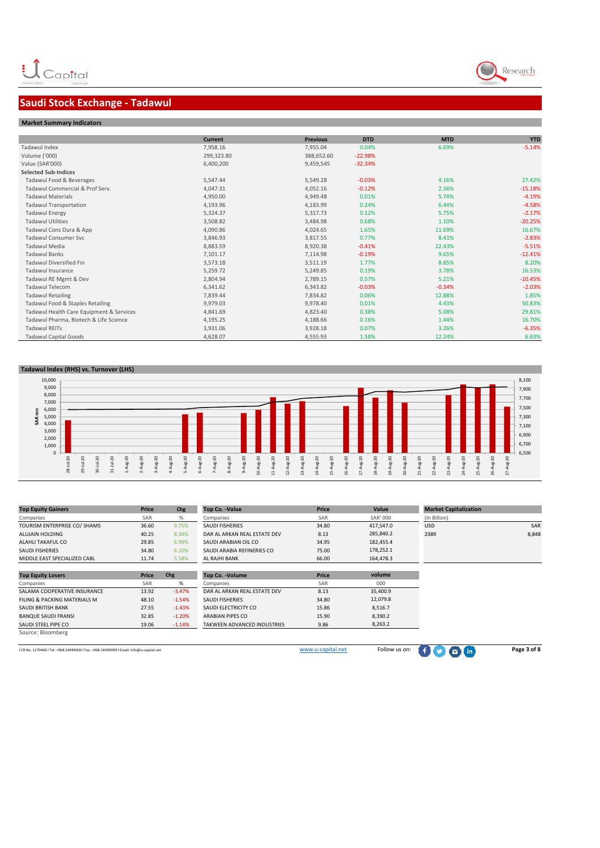# **Saudi Stock Exchange ‐ Tadawul**

### **Market Summary Indicators**

|                                          | <b>Current</b> | <b>Previous</b> | <b>DTD</b> | <b>MTD</b> | <b>YTD</b> |
|------------------------------------------|----------------|-----------------|------------|------------|------------|
| Tadawul Index                            | 7,958.16       | 7,955.04        | 0.04%      | 6.69%      | $-5.14%$   |
| Volume ('000)                            | 299,323.80     | 388,652.60      | $-22.98%$  |            |            |
| Value (SAR'000)                          | 6,400,200      | 9,459,545       | $-32.34%$  |            |            |
| <b>Selected Sub-Indices</b>              |                |                 |            |            |            |
| Tadawul Food & Beverages                 | 5,547.44       | 5,549.28        | $-0.03%$   | 4.16%      | 27.42%     |
| Tadawul Commercial & Prof Serv.          | 4,047.31       | 4,052.16        | $-0.12%$   | 2.36%      | $-15.18%$  |
| <b>Tadawul Materials</b>                 | 4,950.00       | 4,949.48        | 0.01%      | 5.74%      | $-4.19%$   |
| <b>Tadawul Transportation</b>            | 4,193.96       | 4,183.99        | 0.24%      | 6.44%      | $-4.58%$   |
| <b>Tadawul Energy</b>                    | 5,324.37       | 5,317.73        | 0.12%      | 5.75%      | $-2.17%$   |
| <b>Tadawul Utilities</b>                 | 3,508.82       | 3,484.98        | 0.68%      | 1.10%      | $-20.25%$  |
| Tadawul Cons Dura & App                  | 4,090.86       | 4,024.65        | 1.65%      | 11.69%     | 16.67%     |
| <b>Tadawul Consumer Svc</b>              | 3,846.93       | 3,817.55        | 0.77%      | 8.41%      | $-2.83%$   |
| <b>Tadawul Media</b>                     | 8,883.59       | 8,920.38        | $-0.41%$   | 22.43%     | $-5.51%$   |
| <b>Tadawul Banks</b>                     | 7,101.17       | 7,114.98        | $-0.19%$   | 9.65%      | $-12.41%$  |
| <b>Tadawul Diversified Fin</b>           | 3,573.18       | 3,511.19        | 1.77%      | 8.85%      | 8.20%      |
| <b>Tadawul Insurance</b>                 | 5,259.72       | 5,249.85        | 0.19%      | 3.78%      | 16.53%     |
| Tadawul RE Mgmt & Dev                    | 2,804.94       | 2,789.15        | 0.57%      | 5.21%      | $-10.45%$  |
| <b>Tadawul Telecom</b>                   | 6,341.62       | 6,343.82        | $-0.03%$   | $-0.34%$   | $-2.03%$   |
| <b>Tadawul Retailing</b>                 | 7,839.44       | 7,834.82        | 0.06%      | 12.88%     | 1.85%      |
| Tadawul Food & Staples Retailing         | 9,979.03       | 9,978.40        | 0.01%      | 4.43%      | 50.83%     |
| Tadawul Health Care Equipment & Services | 4,841.69       | 4,823.40        | 0.38%      | 5.08%      | 29.81%     |
| Tadawul Pharma, Biotech & Life Science   | 4,195.25       | 4,188.66        | 0.16%      | 1.44%      | 16.70%     |
| <b>Tadawul REITs</b>                     | 3,931.06       | 3,928.18        | 0.07%      | 3.26%      | $-6.35%$   |
| <b>Tadawul Capital Goods</b>             | 4,628.07       | 4,555.93        | 1.58%      | 12.24%     | 6.83%      |

### **Tadawul Index (RHS) vs. Turnover (LHS)**



| <b>Top Equity Gainers</b>                                                              | Price | Chg      | <b>Top Co. -Value</b>        | Price             | Value           | <b>Market Capitalization</b> |             |
|----------------------------------------------------------------------------------------|-------|----------|------------------------------|-------------------|-----------------|------------------------------|-------------|
| Companies                                                                              | SAR   | %        | Companies                    | SAR               | <b>SAR' 000</b> | (In Billion)                 |             |
| TOURISM ENTERPRISE CO/ SHAMS                                                           | 36.60 | 9.75%    | <b>SAUDI FISHERIES</b>       | 34.80             | 417,547.0       | <b>USD</b>                   | <b>SAR</b>  |
| ALUJAIN HOLDING                                                                        | 40.25 | 8.34%    | DAR AL ARKAN REAL ESTATE DEV | 8.13              | 285,840.2       | 2389                         | 8,848       |
| ALAHLI TAKAFUL CO                                                                      | 29.85 | 6.99%    | SAUDI ARABIAN OIL CO         | 34.95             | 182,455.4       |                              |             |
| <b>SAUDI FISHERIES</b>                                                                 | 34.80 | 6.10%    | SAUDI ARABIA REFINERIES CO   | 75.00             | 178,252.1       |                              |             |
| MIDDLE EAST SPECIALIZED CABL                                                           | 11.74 | 5.58%    | AL RAJHI BANK                | 66.00             | 164,478.3       |                              |             |
|                                                                                        |       |          |                              |                   |                 |                              |             |
| <b>Top Equity Losers</b>                                                               | Price | Chg      | <b>Top Co. - Volume</b>      | Price             | volume          |                              |             |
| Companies                                                                              | SAR   | %        | Companies                    | SAR               | 000             |                              |             |
| SALAMA COOPERATIVE INSURANCE                                                           | 13.92 | $-3.47%$ | DAR AL ARKAN REAL ESTATE DEV | 8.13              | 35,400.9        |                              |             |
| FILING & PACKING MATERIALS M                                                           | 48.10 | $-1.54%$ | <b>SAUDI FISHERIES</b>       | 34.80             | 12,079.8        |                              |             |
| SAUDI BRITISH BANK                                                                     | 27.55 | $-1.43%$ | SAUDI ELECTRICITY CO         | 15.86             | 8,516.7         |                              |             |
| <b>BANQUE SAUDI FRANSI</b>                                                             | 32.85 | $-1.20%$ | <b>ARABIAN PIPES CO</b>      | 15.90             | 8,390.2         |                              |             |
| SAUDI STEEL PIPE CO                                                                    | 19.06 | $-1.14%$ | TAKWEEN ADVANCED INDUSTRIES  | 9.86              | 8,263.2         |                              |             |
| Source: Bloomberg                                                                      |       |          |                              |                   |                 |                              |             |
|                                                                                        |       |          |                              |                   |                 |                              |             |
| I CR No. 1279406   Tel: +968 24949000   Fax: +968 24949099   Email: info@u-capital.net |       |          |                              | www.u-capital.net | Follow us on:   |                              | Page 3 of 8 |

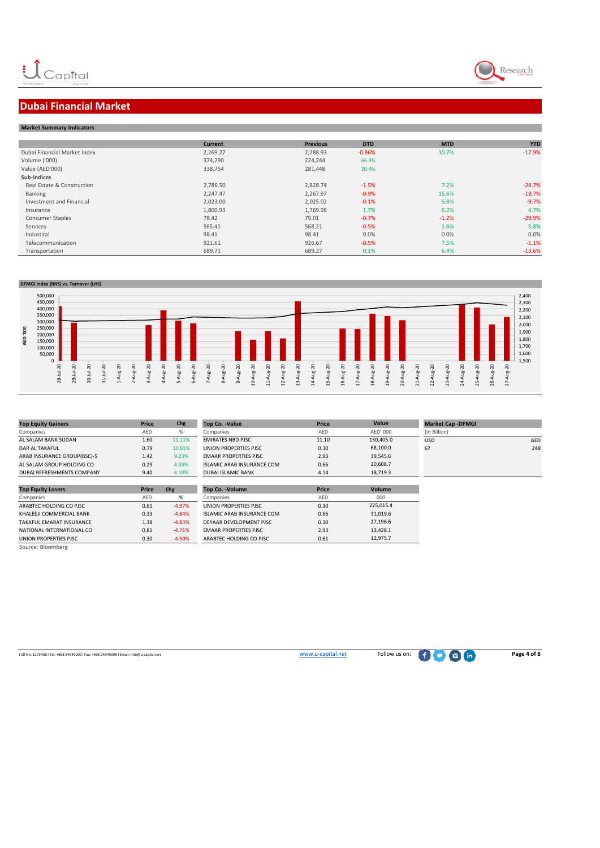



# **Dubai Financial Market**

### **Market Summary Indicators**

|                              | <b>Current</b> | <b>Previous</b> | <b>DTD</b> | <b>MTD</b> | <b>YTD</b> |
|------------------------------|----------------|-----------------|------------|------------|------------|
| Dubai Financial Market Index | 2,269.27       | 2,288.93        | $-0.86%$   | 10.7%      | $-17.9%$   |
| Volume ('000)                | 374,290        | 224,244         | 66.9%      |            |            |
| Value (AED'000)              | 338,754        | 281,448         | 20.4%      |            |            |
| Sub-Indices                  |                |                 |            |            |            |
| Real Estate & Construction   | 2,786.50       | 2.828.74        | $-1.5%$    | 7.2%       | $-24.7%$   |
| Banking                      | 2,247.47       | 2,267.97        | $-0.9%$    | 15.6%      | $-18.7%$   |
| Investment and Financial     | 2,023.00       | 2,025.02        | $-0.1%$    | 5.8%       | $-9.7%$    |
| Insurance                    | 1,800.93       | 1,769.98        | 1.7%       | 6.2%       | 4.7%       |
| <b>Consumer Staples</b>      | 78.42          | 79.01           | $-0.7%$    | $-1.2%$    | $-29.9%$   |
| Services                     | 565.41         | 568.21          | $-0.5%$    | 1.6%       | 5.8%       |
| Industiral                   | 98.41          | 98.41           | 0.0%       | 0.0%       | 0.0%       |
| Telecommunication            | 921.61         | 926.67          | $-0.5%$    | 7.5%       | $-1.1%$    |
| Transportation               | 689.71         | 689.27          | 0.1%       | 6.4%       | $-13.6%$   |



| <b>Top Equity Gainers</b>         | Price | Chg    | <b>Top Co. -Value</b>             | Price |
|-----------------------------------|-------|--------|-----------------------------------|-------|
| Companies                         | AED   | %      | Companies                         | AFD   |
| AL SALAM BANK SUDAN               | 1.60  | 11.11% | <b>EMIRATES NBD PJSC</b>          | 11.10 |
| <b>DAR AL TAKAFUL</b>             | 0.79  | 10.81% | UNION PROPERTIES PISC             | 0.30  |
| ARAB INSURANCE GROUP(BSC)-\$      | 1.42  | 9.23%  | <b>EMAAR PROPERTIES PISC.</b>     | 2.93  |
| AL SALAM GROUP HOLDING CO         | 0.29  | 4.33%  | <b>ISLAMIC ARAB INSURANCE COM</b> | 0.66  |
| <b>DUBAI REFRESHMENTS COMPANY</b> | 9.40  | 4.10%  | <b>DUBAI ISLAMIC BANK</b>         | 4.14  |

| <b>Top Equity Losers</b>  | Price | Chg      | <b>Top Co. - Volume</b>           | Price | Volume   |
|---------------------------|-------|----------|-----------------------------------|-------|----------|
| Companies                 | AED   | %        | Companies                         | AED   | 000      |
| ARABTEC HOLDING CO PJSC   | 0.61  | $-4.97%$ | UNION PROPERTIES PJSC             | 0.30  | 225,015. |
| KHALEEJI COMMERCIAL BANK  | 0.33  | $-4.84%$ | <b>ISLAMIC ARAB INSURANCE COM</b> | 0.66  | 31,019.6 |
| TAKAFUL EMARAT INSURANCE  | 1.38  | $-4.83%$ | DEYAAR DEVELOPMENT PJSC           | 0.30  | 27,196.6 |
| NATIONAL INTERNATIONAL CO | 0.81  | $-4.71%$ | <b>EMAAR PROPERTIES PISC.</b>     | 2.93  | 13,428.1 |
| UNION PROPERTIES PJSC     | 0.30  | $-4.50%$ | ARABTEC HOLDING CO PJSC           | 0.61  | 12.975.7 |
| Source: Bloomberg         |       |          |                                   |       |          |

| <b>Top Equity Gainers</b>    | Price      | Chg    | <b>Top Co. -Value</b>             | Price | Value     | <b>Market Cap - DFMGI</b> |     |
|------------------------------|------------|--------|-----------------------------------|-------|-----------|---------------------------|-----|
| Companies                    | <b>AED</b> |        | Companies                         | AED   | AED' 000  | (In Billion)              |     |
| AL SALAM BANK SUDAN          | 1.60       | 11.11% | <b>EMIRATES NBD PJSC</b>          | 11.10 | 130,405.0 | <b>USD</b>                | AED |
| DAR AL TAKAFUL               | 0.79       | 10.81% | UNION PROPERTIES PJSC             | 0.30  | 68,100.0  | 67                        | 248 |
| ARAB INSURANCE GROUP(BSC)-\$ | 1.42       | 9.23%  | <b>EMAAR PROPERTIES PJSC</b>      | 2.93  | 39,545.6  |                           |     |
| AL SALAM GROUP HOLDING CO    | 0.29       | 4.33%  | <b>ISLAMIC ARAB INSURANCE COM</b> | 0.66  | 20,608.7  |                           |     |
| DUBAI REFRESHMENTS COMPANY   | 9.40       | 4.10%  | <b>DUBAI ISLAMIC BANK</b>         | 4.14  | 18.719.3  |                           |     |
|                              |            |        |                                   |       |           |                           |     |

| Co. -Volume                   | Price      | <b>Volume</b> |  |
|-------------------------------|------------|---------------|--|
| anies                         | <b>AFD</b> | 000           |  |
| N PROPERTIES PJSC             | 0.30       | 225.015.4     |  |
| <b>IIC ARAB INSURANCE COM</b> | 0.66       | 31.019.6      |  |
| AR DEVELOPMENT PJSC           | 0.30       | 27.196.6      |  |
| <b>AR PROPERTIES PJSC</b>     | 2.93       | 13.428.1      |  |
|                               |            |               |  |

| <b>Market Cap -DFMGI</b> |            |
|--------------------------|------------|
| In Billion)              |            |
| <b>JSD</b>               | <b>AED</b> |
| 57                       | 248        |
|                          |            |
|                          |            |

**l** CR No. 1279406 l Tel: +968 24949000 l Fax: +968 24949009 l Email: info@u‐capital.net **www.u‐capital.net** Follow us on: **Page 4 of 8**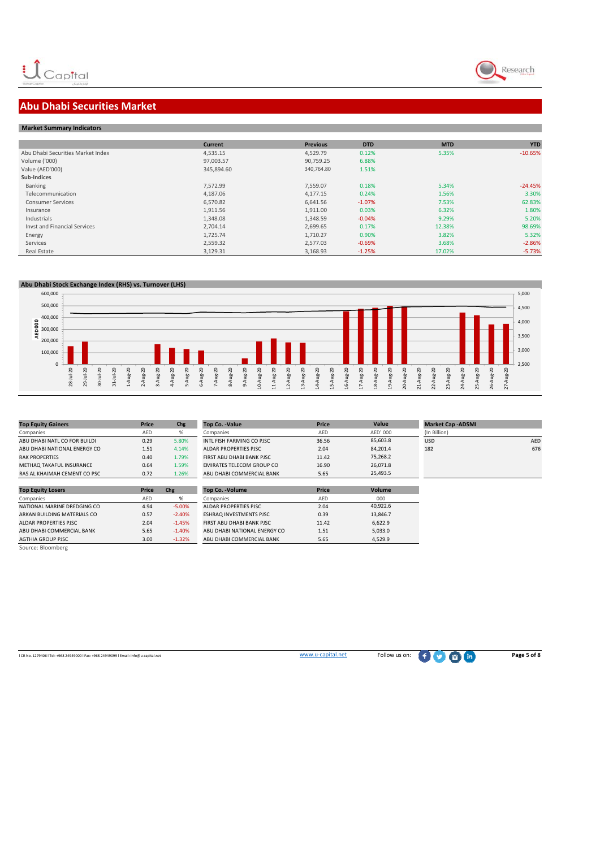

# **Abu Dhabi Securities Market**

### **Market Summary Indicators**

|                                   | <b>Current</b> | <b>Previous</b> | <b>DTD</b> | <b>MTD</b> | <b>YTD</b> |
|-----------------------------------|----------------|-----------------|------------|------------|------------|
| Abu Dhabi Securities Market Index | 4,535.15       | 4.529.79        | 0.12%      | 5.35%      | $-10.65%$  |
| Volume ('000)                     | 97,003.57      | 90.759.25       | 6.88%      |            |            |
| Value (AED'000)                   | 345,894.60     | 340.764.80      | 1.51%      |            |            |
| Sub-Indices                       |                |                 |            |            |            |
| Banking                           | 7,572.99       | 7,559.07        | 0.18%      | 5.34%      | $-24.45%$  |
| Telecommunication                 | 4,187.06       | 4,177.15        | 0.24%      | 1.56%      | 3.30%      |
| <b>Consumer Services</b>          | 6,570.82       | 6.641.56        | $-1.07%$   | 7.53%      | 62.83%     |
| Insurance                         | 1,911.56       | 1,911.00        | 0.03%      | 6.32%      | 1.80%      |
| Industrials                       | 1,348.08       | 1,348.59        | $-0.04%$   | 9.29%      | 5.20%      |
| Invst and Financial Services      | 2,704.14       | 2,699.65        | 0.17%      | 12.38%     | 98.69%     |
| Energy                            | 1,725.74       | 1,710.27        | 0.90%      | 3.82%      | 5.32%      |
| Services                          | 2,559.32       | 2.577.03        | $-0.69%$   | 3.68%      | $-2.86%$   |
| Real Estate                       | 3,129.31       | 3,168.93        | $-1.25%$   | 17.02%     | $-5.73%$   |



| <b>Top Equity Gainers</b>       | Price      | Chg   | <b>Top Co. -Value</b>            | Price      |
|---------------------------------|------------|-------|----------------------------------|------------|
| Companies                       | <b>AFD</b> | %     | Companies                        | <b>AFD</b> |
| ABU DHABI NATL CO FOR BUILDI    | 0.29       | 5.80% | INTL FISH FARMING CO PJSC        | 36.56      |
| ABU DHABI NATIONAL ENERGY CO    | 1.51       | 4.14% | ALDAR PROPERTIES PJSC            | 2.04       |
| <b>RAK PROPERTIES</b>           | 0.40       | 1.79% | FIRST ABU DHABI BANK PJSC        | 11.42      |
| <b>METHAQ TAKAFUL INSURANCE</b> | 0.64       | 1.59% | <b>EMIRATES TELECOM GROUP CO</b> | 16.90      |
| RAS AL KHAIMAH CEMENT CO PSC    | 0.72       | 1.26% | ABU DHABI COMMERCIAL BANK        | 5.65       |

| <b>Top Equity Losers</b>    | Price      | Chg       | <b>Top Co. - Volume</b>        | Price |
|-----------------------------|------------|-----------|--------------------------------|-------|
| Companies                   | <b>AFD</b> | %         | Companies                      | AED   |
| NATIONAL MARINE DREDGING CO | 4.94       | $-5.00\%$ | <b>ALDAR PROPERTIES PJSC</b>   | 2.04  |
| ARKAN BUILDING MATERIALS CO | 0.57       | $-2.40%$  | <b>ESHRAQ INVESTMENTS PJSC</b> | 0.39  |
| ALDAR PROPERTIES PJSC       | 2.04       | $-1.45%$  | FIRST ABU DHABI BANK PJSC      | 11.42 |
| ABU DHABI COMMERCIAL BANK   | 5.65       | $-1.40%$  | ABU DHABI NATIONAL ENERGY CO   | 1.51  |
| <b>AGTHIA GROUP PJSC</b>    | 3.00       | $-1.32%$  | ABU DHABI COMMERCIAL BANK      | 5.65  |
| Source: Bloomberg           |            |           |                                |       |

| <b>Top Equity Gainers</b>    | Price      | Chg   | Top Co. -Value            | Price      | Value    | <b>Market Cap - ADSMI</b> |            |
|------------------------------|------------|-------|---------------------------|------------|----------|---------------------------|------------|
| Companies                    | <b>AED</b> |       | Companies                 | <b>AED</b> | AED' 000 | (In Billion)              |            |
| ABU DHABI NATL CO FOR BUILDI | 0.29       | 5.80% | INTL FISH FARMING CO PJSC | 36.56      | 85,603.8 | <b>USD</b>                | <b>AED</b> |
| ABU DHABI NATIONAL ENERGY CO | 1.51       | 4.14% | ALDAR PROPERTIES PJSC     | 2.04       | 84.201.4 | 182                       | 676        |
| <b>RAK PROPERTIES</b>        | 0.40       | 1.79% | FIRST ABU DHABI BANK PJSC | 11.42      | 75,268.2 |                           |            |
| METHAQ TAKAFUL INSURANCE     | 0.64       | 1.59% | EMIRATES TELECOM GROUP CO | 16.90      | 26,071.8 |                           |            |
| RAS AL KHAIMAH CEMENT CO PSC | 0.72       | 1.26% | ABU DHABI COMMERCIAL BANK | 5.65       | 25.493.5 |                           |            |
|                              |            |       |                           |            |          |                           |            |

| Top Co. -Volume                | Price      | <b>Volume</b> |
|--------------------------------|------------|---------------|
| Companies                      | <b>AFD</b> | 000           |
| ALDAR PROPERTIES PJSC          | 2.04       | 40.922.6      |
| <b>ESHRAQ INVESTMENTS PJSC</b> | 0.39       | 13,846.7      |
| FIRST ABU DHABI BANK PJSC      | 11.42      | 6.622.9       |
| ABU DHABI NATIONAL ENERGY CO   | 1.51       | 5.033.0       |
| ABU DHABI COMMERCIAL BANK      | 5.65       | 4.529.9       |

<sup>l</sup> CR No. <sup>1279406</sup> <sup>l</sup> Tel: +968 <sup>24949000</sup> <sup>l</sup> Fax: +968 <sup>24949099</sup> <sup>l</sup> Email: info@u‐capital.net www.u‐capital.net Follow us on: **Page 5 of 8**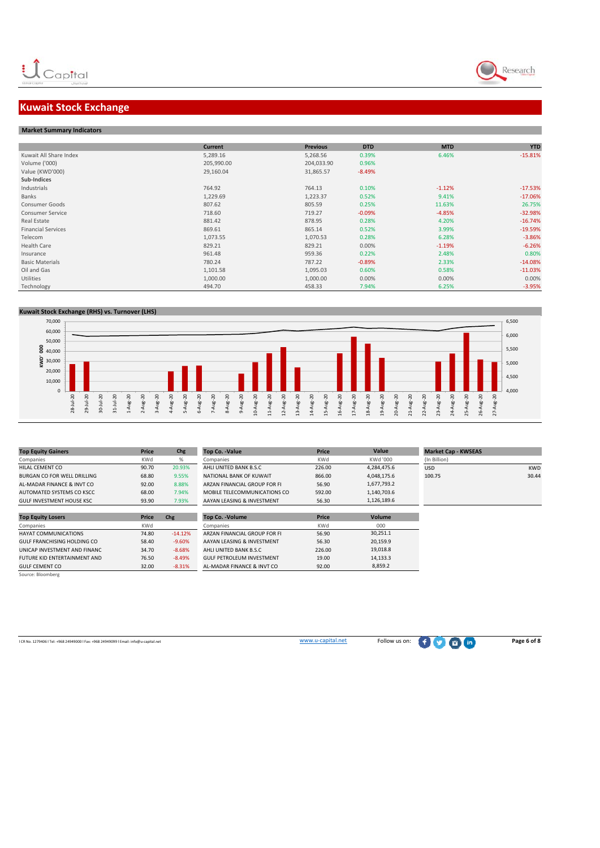

### **Kuwait Stock Exchange**

#### **Market Summary Indicators**

|                           | <b>Current</b> | <b>Previous</b> | <b>DTD</b> | <b>MTD</b> | <b>YTD</b> |
|---------------------------|----------------|-----------------|------------|------------|------------|
| Kuwait All Share Index    | 5,289.16       | 5,268.56        | 0.39%      | 6.46%      | $-15.81%$  |
| Volume ('000)             | 205,990.00     | 204,033.90      | 0.96%      |            |            |
| Value (KWD'000)           | 29,160.04      | 31,865.57       | $-8.49%$   |            |            |
| Sub-Indices               |                |                 |            |            |            |
| Industrials               | 764.92         | 764.13          | 0.10%      | $-1.12%$   | $-17.53%$  |
| Banks                     | 1,229.69       | 1,223.37        | 0.52%      | 9.41%      | $-17.06%$  |
| Consumer Goods            | 807.62         | 805.59          | 0.25%      | 11.63%     | 26.75%     |
| <b>Consumer Service</b>   | 718.60         | 719.27          | $-0.09%$   | $-4.85%$   | $-32.98%$  |
| Real Estate               | 881.42         | 878.95          | 0.28%      | 4.20%      | $-16.74%$  |
| <b>Financial Services</b> | 869.61         | 865.14          | 0.52%      | 3.99%      | $-19.59%$  |
| Telecom                   | 1,073.55       | 1,070.53        | 0.28%      | 6.28%      | $-3.86%$   |
| <b>Health Care</b>        | 829.21         | 829.21          | 0.00%      | $-1.19%$   | $-6.26%$   |
| Insurance                 | 961.48         | 959.36          | 0.22%      | 2.48%      | 0.80%      |
| <b>Basic Materials</b>    | 780.24         | 787.22          | $-0.89%$   | 2.33%      | $-14.08%$  |
| Oil and Gas               | 1,101.58       | 1,095.03        | 0.60%      | 0.58%      | $-11.03%$  |
| Utilities                 | 1,000.00       | 1,000.00        | 0.00%      | 0.00%      | 0.00%      |
| Technology                | 494.70         | 458.33          | 7.94%      | 6.25%      | $-3.95%$   |

### **Kuwait Stock Exchange (RHS) vs. Turnover (LHS)**



| Price      | Chg       | <b>Top Co. -Value</b>            | Price  | Value       | <b>Market Cap - KWSEAS</b> |            |
|------------|-----------|----------------------------------|--------|-------------|----------------------------|------------|
| KWd        | %         | Companies                        | KWd    | KWd '000    | (In Billion)               |            |
| 90.70      | 20.93%    | AHLI UNITED BANK B.S.C           | 226.00 | 4,284,475.6 | <b>USD</b>                 | <b>KWD</b> |
| 68.80      | 9.55%     | NATIONAL BANK OF KUWAIT          | 866.00 | 4,048,175.6 | 100.75                     | 30.44      |
| 92.00      | 8.88%     | ARZAN FINANCIAL GROUP FOR FI     | 56.90  | 1,677,793.2 |                            |            |
| 68.00      | 7.94%     | MOBILE TELECOMMUNICATIONS CO     | 592.00 | 1,140,703.6 |                            |            |
| 93.90      | 7.93%     | AAYAN LEASING & INVESTMENT       | 56.30  | 1,126,189.6 |                            |            |
|            |           |                                  |        |             |                            |            |
| Price      | Chg       | <b>Top Co. - Volume</b>          | Price  | Volume      |                            |            |
| <b>KWd</b> |           | Companies                        | KWd    | 000         |                            |            |
| 74.80      | $-14.12%$ | ARZAN FINANCIAL GROUP FOR FI     | 56.90  | 30,251.1    |                            |            |
| 58.40      | $-9.60%$  | AAYAN LEASING & INVESTMENT       | 56.30  | 20,159.9    |                            |            |
| 34.70      | $-8.68%$  | AHLI UNITED BANK B.S.C           | 226.00 | 19.018.8    |                            |            |
| 76.50      | $-8.49%$  | <b>GULF PETROLEUM INVESTMENT</b> | 19.00  | 14,133.3    |                            |            |
|            |           |                                  |        |             |                            |            |
|            |           |                                  |        |             |                            |            |

**CR No. 1279406 l Tel: +968 24949000 l Fax: +968 24949099 l Email: info@u-capital.net Page 6 of 8**<br>
WWW.u–capital.net Follow us on: ● Page 6 of 8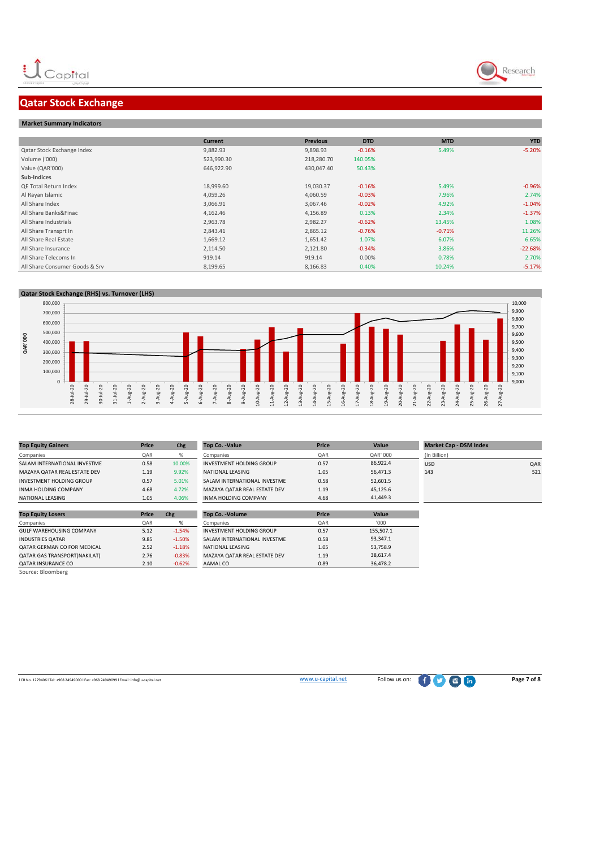

## **Qatar Stock Exchange**

#### **Market Summary Indicators**

|                                | <b>Current</b> | <b>Previous</b> | <b>DTD</b> | <b>MTD</b> | <b>YTD</b> |
|--------------------------------|----------------|-----------------|------------|------------|------------|
| Qatar Stock Exchange Index     | 9,882.93       | 9,898.93        | $-0.16%$   | 5.49%      | $-5.20%$   |
| Volume ('000)                  | 523,990.30     | 218,280.70      | 140.05%    |            |            |
| Value (QAR'000)                | 646,922.90     | 430,047.40      | 50.43%     |            |            |
| Sub-Indices                    |                |                 |            |            |            |
| <b>QE Total Return Index</b>   | 18,999.60      | 19,030.37       | $-0.16%$   | 5.49%      | $-0.96%$   |
| Al Rayan Islamic               | 4,059.26       | 4,060.59        | $-0.03%$   | 7.96%      | 2.74%      |
| All Share Index                | 3,066.91       | 3,067.46        | $-0.02%$   | 4.92%      | $-1.04%$   |
| All Share Banks&Finac          | 4,162.46       | 4,156.89        | 0.13%      | 2.34%      | $-1.37%$   |
| All Share Industrials          | 2,963.78       | 2,982.27        | $-0.62%$   | 13.45%     | 1.08%      |
| All Share Transprt In          | 2,843.41       | 2,865.12        | $-0.76%$   | $-0.71%$   | 11.26%     |
| All Share Real Estate          | 1,669.12       | 1,651.42        | 1.07%      | 6.07%      | 6.65%      |
| All Share Insurance            | 2,114.50       | 2,121.80        | $-0.34%$   | 3.86%      | $-22.68%$  |
| All Share Telecoms In          | 919.14         | 919.14          | 0.00%      | 0.78%      | 2.70%      |
| All Share Consumer Goods & Srv | 8,199.65       | 8,166.83        | 0.40%      | 10.24%     | $-5.17%$   |



| <b>Top Equity Gainers</b>       | <b>Price</b> | Chg      | <b>Top Co. -Value</b>           | Price | Value     | <b>Market Cap - DSM Index</b> |     |
|---------------------------------|--------------|----------|---------------------------------|-------|-----------|-------------------------------|-----|
| Companies                       | QAR          | %        | Companies                       | QAR   | QAR' 000  | (In Billion)                  |     |
| SALAM INTERNATIONAL INVESTME    | 0.58         | 10.00%   | <b>INVESTMENT HOLDING GROUP</b> | 0.57  | 86.922.4  | <b>USD</b>                    | QAR |
| MAZAYA QATAR REAL ESTATE DEV    | 1.19         | 9.92%    | NATIONAL LEASING                | 1.05  | 56,471.3  | 143                           | 521 |
| INVESTMENT HOLDING GROUP        | 0.57         | 5.01%    | SALAM INTERNATIONAL INVESTME    | 0.58  | 52,601.5  |                               |     |
| <b>INMA HOLDING COMPANY</b>     | 4.68         | 4.72%    | MAZAYA QATAR REAL ESTATE DEV    | 1.19  | 45.125.6  |                               |     |
| NATIONAL LEASING                | 1.05         | 4.06%    | <b>INMA HOLDING COMPANY</b>     | 4.68  | 41.449.3  |                               |     |
|                                 |              |          |                                 |       |           |                               |     |
| <b>Top Equity Losers</b>        | Price        | Chg      | <b>Top Co. - Volume</b>         | Price | Value     |                               |     |
| Companies                       | QAR          | %        | Companies                       | QAR   | '000'     |                               |     |
| <b>GULF WAREHOUSING COMPANY</b> | 5.12         | $-1.54%$ | INVESTMENT HOLDING GROUP        | 0.57  | 155.507.1 |                               |     |

-0.83% MAZAYA QATAR REAL ESTATE DEV 1.19<br>-0.62% AAMAL CO 0.89

QATAR INSURANCE CO 2.10 Source: Bloomberg

**OR No. 1279406 l Tel: +968 24949000 l Fax: +968 24949099 l Email: info@u-capital.net Page 7** of 8

INDUSTRIES QATAR 9.85 ‐1.50% SALAM INTERNATIONAL INVESTME 0.58 QATAR GERMAN CO FOR MEDICAL 2.52 ‐1.18% NATIONAL LEASING 1.05



93,347.1 53,758.9 38,617.4 36,478.2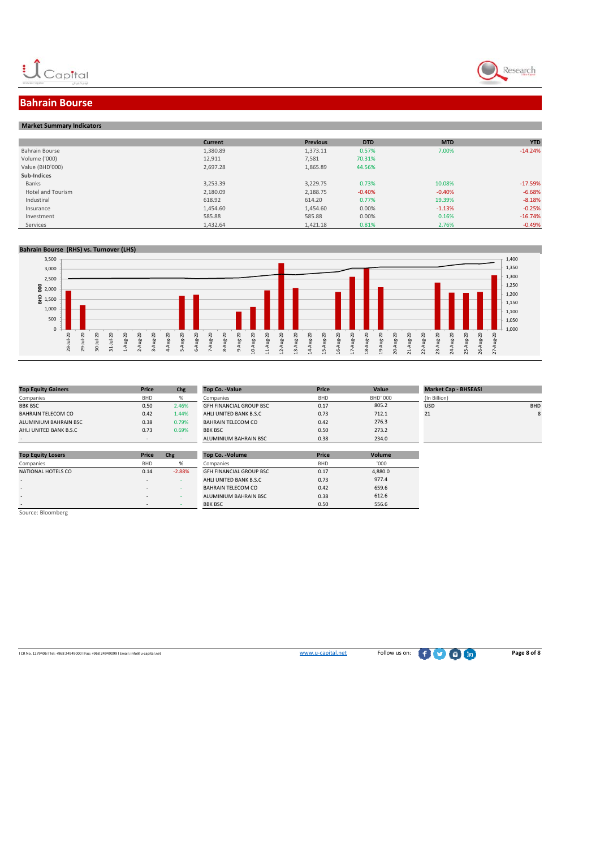



### **Bahrain Bourse**

| <b>Market Summary Indicators</b> |  |
|----------------------------------|--|

|                          | <b>Current</b> | <b>Previous</b> | <b>DTD</b> | <b>MTD</b> | <b>YTD</b> |
|--------------------------|----------------|-----------------|------------|------------|------------|
| Bahrain Bourse           | 1,380.89       | 1,373.11        | 0.57%      | 7.00%      | $-14.24%$  |
| Volume ('000)            | 12,911         | 7,581           | 70.31%     |            |            |
| Value (BHD'000)          | 2,697.28       | 1,865.89        | 44.56%     |            |            |
| Sub-Indices              |                |                 |            |            |            |
| Banks                    | 3,253.39       | 3,229.75        | 0.73%      | 10.08%     | $-17.59%$  |
| <b>Hotel and Tourism</b> | 2,180.09       | 2,188.75        | $-0.40%$   | $-0.40%$   | $-6.68%$   |
| Industiral               | 618.92         | 614.20          | 0.77%      | 19.39%     | $-8.18%$   |
| Insurance                | 1,454.60       | 1,454.60        | 0.00%      | $-1.13%$   | $-0.25%$   |
| Investment               | 585.88         | 585.88          | 0.00%      | 0.16%      | $-16.74%$  |
| Services                 | 1,432.64       | 1,421.18        | 0.81%      | 2.76%      | $-0.49%$   |

#### **Bahrain Bourse (RHS) vs. Turnover (LHS)**



| <b>Top Equity Gainers</b> | Price      | Chg      | <b>Top Co. -Value</b>          | Price      | Value           | <b>Market Cap - BHSEASI</b> |            |
|---------------------------|------------|----------|--------------------------------|------------|-----------------|-----------------------------|------------|
| Companies                 | <b>BHD</b> | %        | Companies                      | <b>BHD</b> | <b>BHD' 000</b> | (In Billion)                |            |
| <b>BBK BSC</b>            | 0.50       | 2.46%    | <b>GFH FINANCIAL GROUP BSC</b> | 0.17       | 805.2           | <b>USD</b>                  | <b>BHD</b> |
| <b>BAHRAIN TELECOM CO</b> | 0.42       | 1.44%    | AHLI UNITED BANK B.S.C         | 0.73       | 712.1           | 21                          | 8          |
| ALUMINIUM BAHRAIN BSC     | 0.38       | 0.79%    | <b>BAHRAIN TELECOM CO</b>      | 0.42       | 276.3           |                             |            |
| AHLI UNITED BANK B.S.C    | 0.73       | 0.69%    | <b>BBK BSC</b>                 | 0.50       | 273.2           |                             |            |
|                           | ٠          |          | ALUMINIUM BAHRAIN BSC          | 0.38       | 234.0           |                             |            |
|                           |            |          |                                |            |                 |                             |            |
| <b>Top Equity Losers</b>  | Price      | Chg      | <b>Top Co. - Volume</b>        | Price      | Volume          |                             |            |
| Companies                 | <b>BHD</b> | %        | Companies                      | <b>BHD</b> | '000            |                             |            |
| NATIONAL HOTELS CO        | 0.14       | $-2.88%$ | <b>GFH FINANCIAL GROUP BSC</b> | 0.17       | 4,880.0         |                             |            |
| $\sim$                    | $\sim$     |          | AHLI UNITED BANK B.S.C         | 0.73       | 977.4           |                             |            |
| $\overline{\phantom{a}}$  | ٠          | . .      | <b>BAHRAIN TELECOM CO</b>      | 0.42       | 659.6           |                             |            |
| $\sim$                    | $\sim$     |          | ALUMINIUM BAHRAIN BSC          | 0.38       | 612.6           |                             |            |
|                           | $\sim$     |          | <b>BBK BSC</b>                 | 0.50       | 556.6           |                             |            |
| Source: Bloomberg         |            |          |                                |            |                 |                             |            |

<br>
ICR No. 1279406 l Tel: +968 24949000 l Fax: +968 24949099 l Email: info@u‐capital.net **Page 8 of 8**<br> **WWW.u-capital.net** Follow us on: **Page 8 of 8**